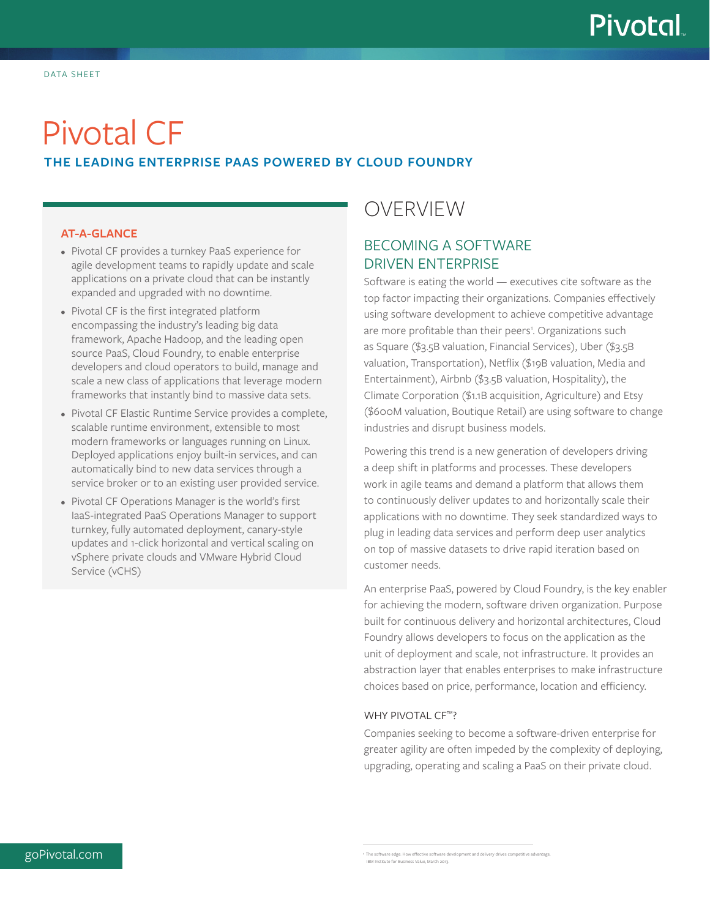# Pivotal CF

## **THE LEADING ENTERPRISE PAAS POWERED BY CLOUD FOUNDRY**

#### **AT-A-GLANCE**

- Pivotal CF provides a turnkey PaaS experience for agile development teams to rapidly update and scale applications on a private cloud that can be instantly expanded and upgraded with no downtime.
- Pivotal CF is the first integrated platform encompassing the industry's leading big data framework, Apache Hadoop, and the leading open source PaaS, Cloud Foundry, to enable enterprise developers and cloud operators to build, manage and scale a new class of applications that leverage modern frameworks that instantly bind to massive data sets.
- Pivotal CF Elastic Runtime Service provides a complete, scalable runtime environment, extensible to most modern frameworks or languages running on Linux. Deployed applications enjoy built-in services, and can automatically bind to new data services through a service broker or to an existing user provided service.
- Pivotal CF Operations Manager is the world's first IaaS-integrated PaaS Operations Manager to support turnkey, fully automated deployment, canary-style updates and 1-click horizontal and vertical scaling on vSphere private clouds and VMware Hybrid Cloud Service (vCHS)

# OVERVIEW

# BECOMING A SOFTWARE DRIVEN ENTERPRISE

Software is eating the world — executives cite software as the top factor impacting their organizations. Companies effectively using software development to achieve competitive advantage are more profitable than their peers<sup>1</sup>. Organizations such as Square (\$3.5B valuation, Financial Services), Uber (\$3.5B valuation, Transportation), Netflix (\$19B valuation, Media and Entertainment), Airbnb (\$3.5B valuation, Hospitality), the Climate Corporation (\$1.1B acquisition, Agriculture) and Etsy (\$600M valuation, Boutique Retail) are using software to change industries and disrupt business models.

Powering this trend is a new generation of developers driving a deep shift in platforms and processes. These developers work in agile teams and demand a platform that allows them to continuously deliver updates to and horizontally scale their applications with no downtime. They seek standardized ways to plug in leading data services and perform deep user analytics on top of massive datasets to drive rapid iteration based on customer needs.

An enterprise PaaS, powered by Cloud Foundry, is the key enabler for achieving the modern, software driven organization. Purpose built for continuous delivery and horizontal architectures, Cloud Foundry allows developers to focus on the application as the unit of deployment and scale, not infrastructure. It provides an abstraction layer that enables enterprises to make infrastructure choices based on price, performance, location and efficiency.

#### WHY PIVOTAL CF™?

Companies seeking to become a software-driven enterprise for greater agility are often impeded by the complexity of deploying, upgrading, operating and scaling a PaaS on their private cloud.

 $g$ o $P$ ivotal.com  $1$ organisment and delivery drives competitive advantage and  $1$  The software development and delivery drives competitive advantage and  $P$ IBM Institute for Business Value, March 2013.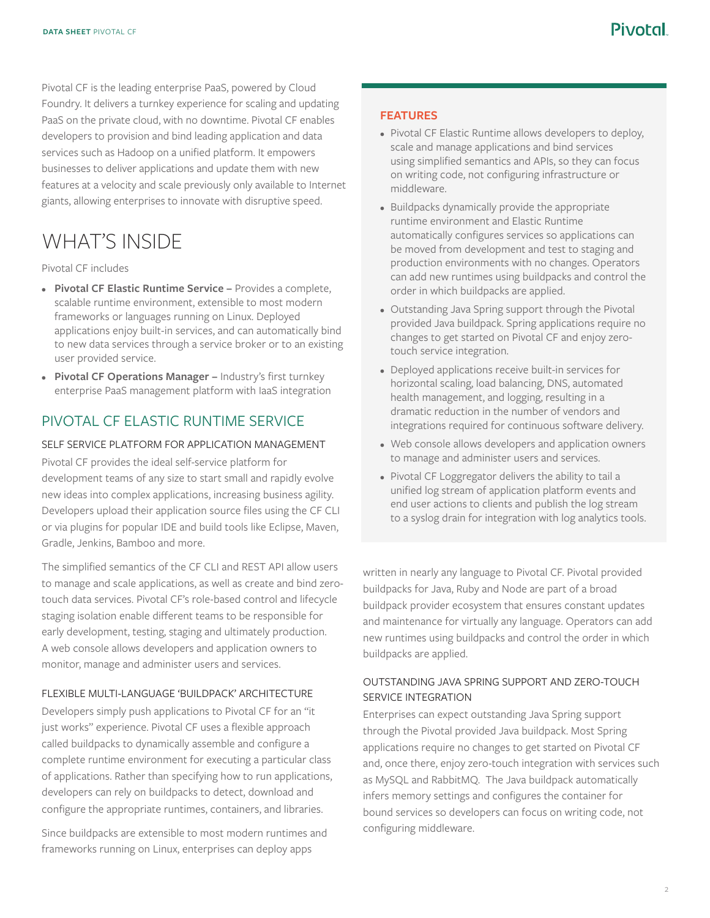Pivotal CF is the leading enterprise PaaS, powered by Cloud Foundry. It delivers a turnkey experience for scaling and updating PaaS on the private cloud, with no downtime. Pivotal CF enables developers to provision and bind leading application and data services such as Hadoop on a unified platform. It empowers businesses to deliver applications and update them with new features at a velocity and scale previously only available to Internet giants, allowing enterprises to innovate with disruptive speed.

# WHAT'S INSIDE

#### Pivotal CF includes

- **• Pivotal CF Elastic Runtime Service –** Provides a complete, scalable runtime environment, extensible to most modern frameworks or languages running on Linux. Deployed applications enjoy built-in services, and can automatically bind to new data services through a service broker or to an existing user provided service.
- **• Pivotal CF Operations Manager –** Industry's first turnkey enterprise PaaS management platform with IaaS integration

### PIVOTAL CF ELASTIC RUNTIME SERVICE

#### SELF SERVICE PLATFORM FOR APPLICATION MANAGEMENT

Pivotal CF provides the ideal self-service platform for development teams of any size to start small and rapidly evolve new ideas into complex applications, increasing business agility. Developers upload their application source files using the CF CLI or via plugins for popular IDE and build tools like Eclipse, Maven, Gradle, Jenkins, Bamboo and more.

The simplified semantics of the CF CLI and REST API allow users to manage and scale applications, as well as create and bind zerotouch data services. Pivotal CF's role-based control and lifecycle staging isolation enable different teams to be responsible for early development, testing, staging and ultimately production. A web console allows developers and application owners to monitor, manage and administer users and services.

#### FLEXIBLE MULTI-LANGUAGE 'BUILDPACK' ARCHITECTURE

Developers simply push applications to Pivotal CF for an "it just works" experience. Pivotal CF uses a flexible approach called buildpacks to dynamically assemble and configure a complete runtime environment for executing a particular class of applications. Rather than specifying how to run applications, developers can rely on buildpacks to detect, download and configure the appropriate runtimes, containers, and libraries.

Since buildpacks are extensible to most modern runtimes and frameworks running on Linux, enterprises can deploy apps

#### **FEATURES**

- Pivotal CF Elastic Runtime allows developers to deploy, scale and manage applications and bind services using simplified semantics and APIs, so they can focus on writing code, not configuring infrastructure or middleware.
- Buildpacks dynamically provide the appropriate runtime environment and Elastic Runtime automatically configures services so applications can be moved from development and test to staging and production environments with no changes. Operators can add new runtimes using buildpacks and control the order in which buildpacks are applied.
- Outstanding Java Spring support through the Pivotal provided Java buildpack. Spring applications require no changes to get started on Pivotal CF and enjoy zerotouch service integration.
- Deployed applications receive built-in services for horizontal scaling, load balancing, DNS, automated health management, and logging, resulting in a dramatic reduction in the number of vendors and integrations required for continuous software delivery.
- Web console allows developers and application owners to manage and administer users and services.
- Pivotal CF Loggregator delivers the ability to tail a unified log stream of application platform events and end user actions to clients and publish the log stream to a syslog drain for integration with log analytics tools.

written in nearly any language to Pivotal CF. Pivotal provided buildpacks for Java, Ruby and Node are part of a broad buildpack provider ecosystem that ensures constant updates and maintenance for virtually any language. Operators can add new runtimes using buildpacks and control the order in which buildpacks are applied.

#### OUTSTANDING JAVA SPRING SUPPORT AND ZERO-TOUCH SERVICE INTEGRATION

Enterprises can expect outstanding Java Spring support through the Pivotal provided Java buildpack. Most Spring applications require no changes to get started on Pivotal CF and, once there, enjoy zero-touch integration with services such as MySQL and RabbitMQ. The Java buildpack automatically infers memory settings and configures the container for bound services so developers can focus on writing code, not configuring middleware.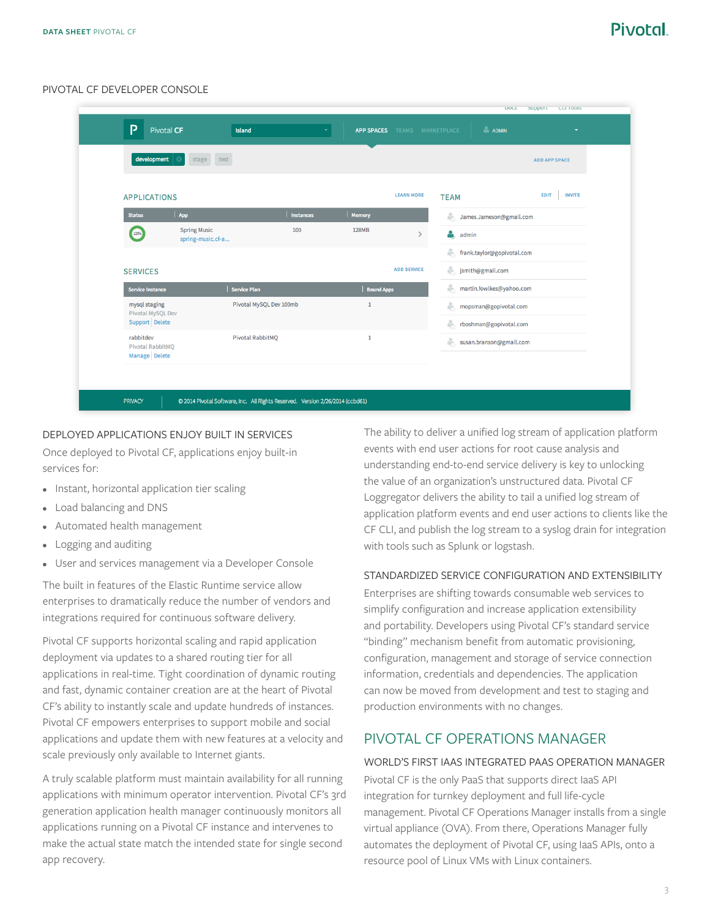# Pivotal

#### PIVOTAL CF DEVELOPER CONSOLE

| development                                    | test<br>stage                            |                         |                   |                    |                                | <b>ADD APP SPACE</b>         |
|------------------------------------------------|------------------------------------------|-------------------------|-------------------|--------------------|--------------------------------|------------------------------|
| <b>APPLICATIONS</b>                            |                                          |                         |                   | <b>LEARN MORE</b>  | <b>TEAM</b>                    | <b>INVITE</b><br><b>EDIT</b> |
| <b>Status</b>                                  | App                                      | Instances               | <b>Memory</b>     |                    | å.<br>James.Jameson@gmail.com  |                              |
| 100%                                           | <b>Spring Music</b><br>spring-music.cf-a | 100                     | <b>128MB</b>      | $\rightarrow$      | admin                          |                              |
|                                                |                                          |                         |                   |                    | frank.taylor@gopivotal.com     |                              |
| <b>SERVICES</b>                                |                                          |                         |                   | <b>ADD SERVICE</b> | smith@gmail.com                |                              |
| <b>Service Instance</b>                        | <b>Service Plan</b>                      |                         | <b>Bound Apps</b> |                    | å.<br>martin.fowlkes@yahoo.com |                              |
| mysql staging<br>Pivotal MySQL Dev             |                                          | Pivotal MySQL Dev 100mb | $1\,$             |                    | å.<br>mopsman@gopivotal.com    |                              |
| Support Delete                                 |                                          |                         |                   |                    | ÷.<br>rboshman@gopivotal.com   |                              |
| rabbitdev<br>Pivotal RabbitMQ<br>Manage Delete |                                          | <b>Pivotal RabbitMQ</b> |                   |                    | susan.branson@gmail.com        |                              |

#### DEPLOYED APPLICATIONS ENJOY BUILT IN SERVICES

Once deployed to Pivotal CF, applications enjoy built-in services for:

- Instant, horizontal application tier scaling
- Load balancing and DNS
- Automated health management
- Logging and auditing
- User and services management via a Developer Console

The built in features of the Elastic Runtime service allow enterprises to dramatically reduce the number of vendors and integrations required for continuous software delivery.

Pivotal CF supports horizontal scaling and rapid application deployment via updates to a shared routing tier for all applications in real-time. Tight coordination of dynamic routing and fast, dynamic container creation are at the heart of Pivotal CF's ability to instantly scale and update hundreds of instances. Pivotal CF empowers enterprises to support mobile and social applications and update them with new features at a velocity and scale previously only available to Internet giants.

A truly scalable platform must maintain availability for all running applications with minimum operator intervention. Pivotal CF's 3rd generation application health manager continuously monitors all applications running on a Pivotal CF instance and intervenes to make the actual state match the intended state for single second app recovery.

The ability to deliver a unified log stream of application platform events with end user actions for root cause analysis and understanding end-to-end service delivery is key to unlocking the value of an organization's unstructured data. Pivotal CF Loggregator delivers the ability to tail a unified log stream of application platform events and end user actions to clients like the CF CLI, and publish the log stream to a syslog drain for integration with tools such as Splunk or logstash.

#### STANDARDIZED SERVICE CONFIGURATION AND EXTENSIBILITY

Enterprises are shifting towards consumable web services to simplify configuration and increase application extensibility and portability. Developers using Pivotal CF's standard service "binding" mechanism benefit from automatic provisioning, configuration, management and storage of service connection information, credentials and dependencies. The application can now be moved from development and test to staging and production environments with no changes.

### PIVOTAL CF OPERATIONS MANAGER

#### WORLD'S FIRST IAAS INTEGRATED PAAS OPERATION MANAGER

Pivotal CF is the only PaaS that supports direct IaaS API integration for turnkey deployment and full life-cycle management. Pivotal CF Operations Manager installs from a single virtual appliance (OVA). From there, Operations Manager fully automates the deployment of Pivotal CF, using IaaS APIs, onto a resource pool of Linux VMs with Linux containers.